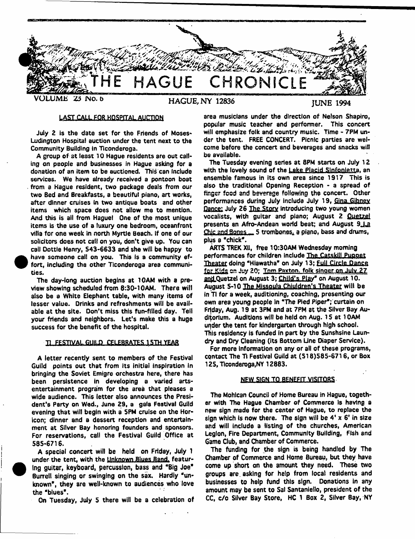

## LAST-CALL FOR KOSPITAL AUCTION

July 2 is the date set for the Friends of Moses-Ludington Hospital auction under the tent next to the Community Building In Ticonderoga.

A group of at least 10 Hague residents are out calling on people and businesses in Hague asking for a donation of an item to be auctioned. This can include services. We have already received a pontoon boat from a Hague resident, two package deals from our two Bed and Breakfasts, a beautiful piano, art works, after dinner cruises in two antique boats and other items which space does not allow me to mention. And this is ail from Haguet One of the most unique items is the use of a luxury one bedroom, oceanfront villa for one week in north Myrtle Beach. If one of our solicitors does not call on you, don't give up. You can call Oottie Henry, 543-6633 and she wilt be happy to have someone call on you. This is a community effort, including the other Ticonderoga area communities.

The day-long auction begins at 10AM with a preview showing scheduled from 8:30-10AM. There will also be a White Elephant table, with many items of lesser value. Drinks and refreshments will be available at the site. Don't miss this fun-filled day. Telf your friends and neighbors. Let's make this a huge success for the benefit of the hospital.

#### Tl FESTIVAL,fiUILfl CELEBRATES- *\* 5H i YEAR

A letter recently sent to members of the Festival Guild points out that from its initial inspiration in bringing the Soviet Emigre orchestra here, there has been persistence in developing a varied artsentertainment program for the area that pleases a wide audience. This letter also announces the President's Party on Wed., June 29, a gala Festival Guild evening that will begin with a 5PM cruise on the Horicon; dinner and a dessert reception and entertainment at Silver Bay honoring founders and sponsors. For reservations, call the Festival Guild Office at 585-6716.

A special concert wilt be held on Friday, July 1 under the tent, with the Unknown Blues Band, featuring guitar, keyboard, percussion, bass and "Big Joe\* Burrell singing or swinging on the sax. Hardly 'unknown\*, they are well-known to audiences who love the "blues\*.

On Tuesday, July 5 there will be a celebration of

area musicians under the direction of Nelson Shapiro, popular music teacher and performer. This concert will emphasize folk and country music. Time - 7PM under the tent. FREE CONCERT. Picnic parties are welcome before the concert and beverages and snacks wilt be available.

The Tuesday evening series at 8PM starts on July 12 with the lovely sound of the Lake Placid Sinfonletta, an ensemble famous in its own area since 1917 This is also the traditional Opening Reception - a spread of finger food and beverage following the concert. Other performances during July include July 19, Gina. Gibnev Dance: July 26 The Story Introducing two young women vocalists, with guitar and piano; August 2 Quetzel presents an Afro-Andean world beat; and August 9 La Chic and Bones.... 5 trombones, a piano, bass and drums, plus a "chick".

ARTS TREK XII, free 10:30AM Wednesday morning performances for children include The Catskill Puppet Theater doing "Hiawatha" on July 13; Full Circle Dance far Kids on Juv 20: Tnm Paxton, folk singer on July 27 and Quetzel on August 3; Child's Play" on August 10. August 5-10 The Missoula Chiuldren's Theater will be in TI for a week, auditioning, coaching, presenting our own area young people In "The Pied Piper"; curtain on Friday, Aug. 19 at 3PM and at 7PM at the Silver Bay Auditorium. Auditions will be held on Aug. 15 at 10AM under the tent for kindergarten through high school. This residency is funded In part by the Sunshsine Laundry and Dry Cleaning (Its Bottom Line Diaper Service).

For more Information on any or all of these programs, contact The Ti Festival Guild at (SI 6)585-6716, or Box 125, Ticonderoga,NY 12883.

#### NEW SIGN TO BENEFIT VISITORS

The Mohican Council of Home Bureau in Hague, together with The Hague Chamber *of* Commerce is having **a** nqw sign made for the center of Hague, to replace the sign which is now there. The sign will be  $4' \times 6'$  in size and wiii include a listing of the churches, American Legion, Fire Department, Community Building, Fish and Game Club, and Chamber of Commerce.

The funding for the sign is being handled by The Chamber of Commerce and Home Bureau, but they have come up short on the amount they need. These two groups are. asking for help from local residents and businesses to help fund this sign. Donations in any amount may be sent to Sal Santaniello, president of the CC, c/o Silver Bay Store, HC 1 Box 2, Silver Bay, NY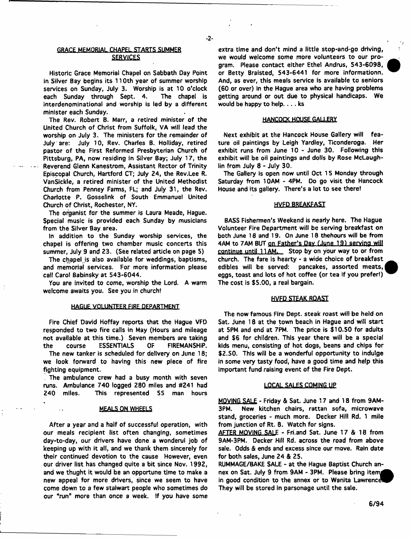## GRACE MEMORIAL CHAPEL STARTS SUMMER SERVICES

 $-2-$ 

Historic Grace Memorial Chapel on Sabbath Day Point in Silver Bay begins its 11 Oth year of summer worship services on Sunday, July 3. Worship is at 10 o'clock each Sunday through Sept. 4. The chapel is interdenominational and worship is led by a different minister each Sunday.

The Rev. Robert B. Marr, a retired *minister of* the United Church of Christ from Suffolk, VA will lead the worship on July 3. The ministers for the remainder of July are: July 10, Rev. Charles B. Holliday, retired pastor of the First Reformed Presbyterian Church of Pittsburg, PA, now residing in Silver Bay; July 17, the Reverend Glenn Kanestrom, Assistant Rector of Trinity Episcopal Church, Hartford CT; July 24, the Rev.Lee R. VanSickle, a retired minister of the United Methodist Church from Penney Farms, FL; and July 31, the Rev. Charlotte P. Gosselink of South Emmanuel United Church of Christ, Rochester, NY.

The organist for the summer is Laura Meade, Hague. Special music is provided each Sunday by musicians from the Silver Bay area.

In addition to the Sunday worship services, the chapel is offering two chamber music concerts this summer, July 9 and 23. (See related article on page S)

The chapel is also available for weddings, baptisms, and memorial services. For more information please call Carol Babinsky at 543-6044.

You are invited to come, worship the Lord. A warm welcome awaits you. See you in church!

#### HAGUE VOLUNTEER FIRE DEPARTMENT

Fire Chief David Hoffay reports that the Hague VFD responded to two fire calls in May (Hours and mileage not available at this time.) Seven members are taking the course ESSENTIALS OF FIREMANSHiP.

The new tanker is scheduled *for* delivery on June 18; we look forward to having this new piece of *fire* fighting equipment.

The ambulance crew had a busy month with seven runs. Ambulance 740 logged 280 miles and #241 had 240 miles. This represented 55 man hours

#### **MEALS ON WHEELS**

After a year and a half *of* successful operation, with our meals recipient list often changing, sometimes day-to-day, our drivers have done a wonderul job of keeping up with it ait, and we thank them sincerely for their continued devotion to the cause However, even our driver list has changed quite a bit since Nov. 1992, and we thught it would be an opportune time to make a new appeal for more drivers, since we seem to have come down to a few stalwart people who sometimes do our "run" more than once a week. If you have some extra time and don't mind a little stop-and-go driving, we would welcome some more volunteers to our program. Please contact either Ethe! Andrus, 543-6098, or Betty Braisted, 543-6441 for more informationn. And, as ever, this meals service is available to seniors (60 or over) in the Hague area who are having problems getting around or out due to physical handicaps. We would be happy to help.. . . ks

# HANCOCK HOUSE GALLERY

Next exhibit at the Hancock House Gallery will feature oil paintings by Leigh Yardley, Ticonderoga. Her exhibit runs from June 10 - June 30. Following this exhibit will be oil paintings and dolls by Rose McLaughlin from July 8 - July 30.

The Gallery is open now until Oct 15 Monday through Saturday from 10AM - 4PM. Do go visit the Hancock House and its gallery. There's a lot to see there!

#### **HVFD BREAKFAST**

BASS Fishermen's Weekend is nearly here. The Hague Volunteer Fire Department will be serving breakfast on both June 16 and 19. On June 18 thehours will be from 4AM to 7AM BUT on Father's Day (June 19) serving will continue until 11AM. Stop by on your way to or from church. The fare is hearty - a wide choice of breakfast edibles will be served: pancakes, assorted meats, eggs, toast and lots of hot coffee (or tea if you prefer!) The cost is \$5.00, a real bargain.

#### HVFD STEAK ROAST

The now famous Fire Dept, steak roast will be held on Sat. June 18 at the town beach in Hague and will start at 5PM and end at 7PM. The price is \$10.50 for adults and \$6 for children. This year there will be a special kids menu, consisting of hot dogs, beans and chips for \$2.50. This will be a wonderful opportunity to indulge in some very tasty food, have a good time and help this important fund raising event of the Fire Dept.

#### LOCAL SALES COMING UB

MOVING SALE - Friday & Sat. June 17 and 18 from 9AM-3PM. New kitchen chairs, rattan sofa, microwave stand, groceries - much more. Decker Hill Rd. 1 mile from junction of Rt, 8. Watch for signs.

AFTER MOVING SALE - Fri.and Sat. June 17 & 18 from 9AM-3PM. Decker Hill Rd. across the road from above sale. Odds & ends and excess since our move. Rain date for both sales, June 24 & 25.

RUMMAGE/BAKE SALE - at the Hague Baptist Church annex on Sat. July 9 from 9AM - 3PM. Please bring items in good condition to the annex or to Wanita Lawrence They will be stored in parsonage until the sale.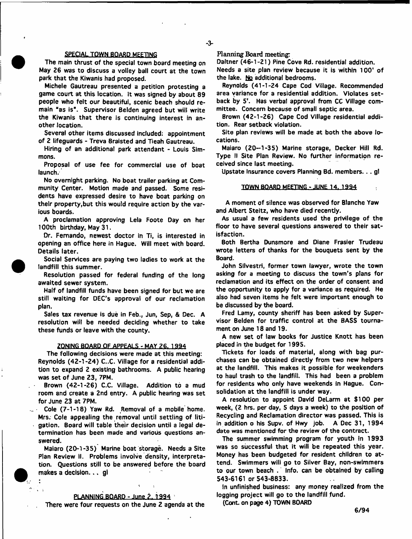#### SPECIAL TOWN BOARD MEETING

The main thrust of the special town board meeting on May 26 was to discuss a volley ball court at the town park that the Kiwanis had proposed.

Michele Gautreau presented a petition protesting a game court at this location. It was signed by about 89 people who felt our beautiful, scenic beach should remain "as is". Supervisor Belden agreed but will write the Kiwanis that there is continuing interest in another location.

Several other items discussed included: appointment of 2 lifeguards - Treva Braisted and Tieah Gautreau.

Hiring of an additional park attendant - Louis Simmons.

Proposal of use fee for commercial use of boat launch.

No overnight parking. No boat trailer parking at Community Center. Motion made and passed. Some residents have expressed desire to have boat parking on their property,but this would require action by the various boards.

A proclamation approving Lela Foote Day on her 100th birthday, May 31.

Dr. Fernando, newest doctor in Ti, is interested in opening an office here in Hague. Will meet with board. Details later.

Social Services are paying two ladies to work at the landfill this summer.

Resolution passed for federal funding of the long awaited sewer system.

Half of landfill funds have been signed for but we are still waiting for DEC'S approval of our reclamation plan.

Sales tax revenue is due in Feb., Jun, Sep, & Dec. A resolution will be needed deciding whether to take these funds or leave with the county.

#### ZONING BOARD OF APPEALS - MAY 26, 1994

The following decisions were made at this meeting: Reynolds (42-1-24) C..C. Village for a residential addition to expand 2 existing bathrooms. A public hearing was set of June 23, 7PM.

Brown (42-1-26) C.C. Village. Addition to a mud room and create a 2nd entry. A public hearing was set for June 23 at 7PM.

Cole (7-1-18) Yaw Rd. Removal of a mobile home. Mrs. Cole appealing the removal until settling of litigation. Board will table their decision until a legal determination has been made and various questions answered.

Maiaro (20-1-35) Marine boat storage. Needs a Site Plan Review II. Problems involve density, interpretation. Questions still to be answered before the board makes a decision... gi

### PLANNING BOARD - June 2, 1994

 $\sim$   $\sim$ 

There were four requests on the June 2 agenda at the

Planning Board meeting:

Daltner (46-1-21) Pine Cove Rd. residential addition. Needs a site plan review because it is within 100' of the lake. No additional bedrooms.

Reynolds (41-1-24 Cape Cod Village, Recommended area variance for a residential addition. Violates setback by 5'. Has verbal approval from CC Village committee. Concern because of small septic area.

Brown (42-1-26) Cape Cod Village residential addition. Rear setback violation.

Site plan reviews will be made at both the above locations.

Maiaro (20-1-35) Marine storage, Decker Hill Rd. Type II Site Plan Review. No further information received since last meeting.

Upstate Insurance covers Planning Bd. members... gt

#### TOWN BOARD MEETING - JUNE 14. 1994

A moment of silence was observed for Blanche Yaw and Albert Stettz, who have died recently.

As usual a few residents used the privilege of the floor to have several questions answered to their satisfaction.

Both Bertha Dunsmore and Diane Frasier Trudeau wrote letters of thanks for the bouquets sent by the Board.

John Silvestri, former town lawyer, wrote the town asking for a meeting to discuss the town's plans for reclamation and its effect on the order of consent and the opportunity to apply for a variance as required. He also had seven items he felt were important enough to be discussed by the board.

Fred Lamy, county sheriff has been asked by Supervisor Belden for traffic control at the BASS tournament on June 18 and 19.

A new set of law books for Justice Knott has been placed in the budget for 1995.

Tickets for loads of material, along with bag purchases can be obtained directly from two new helpers at the landfill. This makes it possible for weekenders to haul trash to the landfill. This had been a problem for residents who only have weekends In Hague. Consolidation at the landfill is under way.

A resolution to appoint David DeLarm at \$100 per week, (2 hrs. per day, 5 days a week) to the position of Recycling and Reclamation director was passed. This is in addition o his Supv. of Hwy job. A Dec 31, 1994 date was mentioned for the review of the contract.

The summer swimming program for youth in 1993 was so successful that it will be repeated this year. Money has been budgeted for resident children to attend. Swimmers will go to Silver Bay, non-swimmers to our town beach . Info, can be obtained by calling 543-6161 or 543-8833.

In unfinished business: any money realized from the logging project will go to the landfill fund.

(Cont. on page 4) TOWN BOARD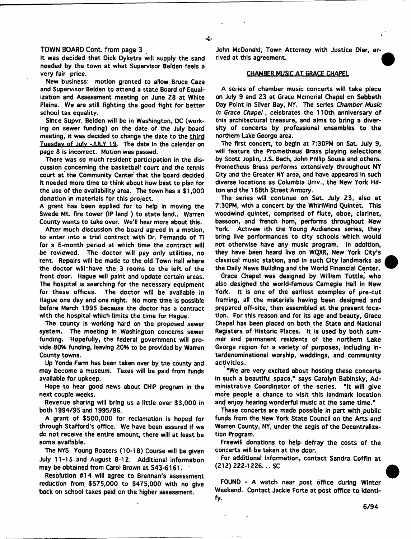#### TOWN BOARD Cont. from page 3

It was decided that Dick Dykstra will supply the sand needed by the town at what Supervisor Belden feels a very fair price.

New business: motion granted to allow Bruce Caza and Supervisor Belden to attend a state Board of Equalization and Assessment meeting on June 28 at White Plains. We are still fighting the good fight for better school tax equality.

Since Supvr. Belden will be in Washington, DC (working on sewer funding) on the date of the July board meeting, it was decided to change the date to the third Tuesday of July -JULY 19. The date in the calendar on page 8 is incorrect. Motion was passed.

There was so much resident participation in the discussion concerning the basketball court and the tennis court at the Community Center that the board decided it needed more time to think about how best to plan for the use of the availability area. The town has a \$1,000 donation in materials for this project.

A grant has been applied for to help in moving the Swede Mt. fire tower (IP land ) to state land.. Warren County wants to take over. We'll hear more about this.

After much discussion the board agreed in a motion, to enter into a trial contract with Dr. Fernando of Ti for a 6-month period at which time the contract will be reviewed. The doctor will pay only utilities, no rent. Repairs will be made to the old Town Hall where the doctor will "have the 3 rooms to the left of the front door. Hague will paint and update certain areas. The hospital is searching for the necessary equipment for these offices. The doctor will be available in Hague one day and one night. No more time is possible before March 1995 because the doctor has *a* contract with the hospital which limits the time for Hague.

The county is working hard on the proposed sewer system. The meeting in Washington concerns sewer funding. Hopefully, the federal government will provide 60% funding, leaving 20% to be provided by Warren County towns.

Up Yonda Farm has been taken over by the county and may become a museum. Taxes will be paid from funds available for upkeep.

Hope to hear good news about CHIP program in the next couple weeks.

Revenue sharing will bring us a little over \$3,000 in both 1994/95 and 1995/96.

A grant of \$500,000 for reclamation Is hoped for through Stafford's office. We have been assured if we do not receive the entire amount, there will at least be some available.

The NYS Young Boaters (10-18) Course will be given July 11-15 and August 8-12. Additional information may be obtained from Carol Brown at 543-6161.

Resolution #14 will agree to Brennan's assessment reduction from, \$575,000 to \$475,000 with no give back on school taxes paid on the higher assessment.

John McDonald, Town Attorney with Justice Dier, arrived at this agreement.

#### CHAMBER MUSIC AT GRACE CHAPEL

A series of chamber music concerts will take place on July 9 and 23 at Grace Memorial Chapel on Sabbath Day Point in Silver Bay, NY. The series *Chamber Music in Grace Chapel*, celebrates the 110th anniversary of this architectural treasure, and aims to bring a diversity of concerts by professional ensembles to the northern Lake George area.

The first concert, to begin at 7:30PM on Sat. July 9, will feature the Prometheus Brass playing selections by Scott Joplin, J.S. Bach, John Pnilip Sousa and others. Prometheus Brass performs extensively throughout NY City and the Greater NY area, and have appeared in such diverse locations as Columbia Univ., the New York Hilton and the 168th Street Armory.

The series will continue on Sat. July 23, also at 7:30PM, with a concert by the Whirlwind Quintet. This woodwind quintet, comprised of flute, oboe, clarinet, bassoon, and french hom, performs throughout New York. Activew ith the Young Audiences series, they bring live performances to city schools which would not otherwise have any music program. In addition, they have been heard live on WQXR, New York City's classical music station, and in such City landmarks as the Daily News Building and the World Financial Center.

Grace Chapel was designed by William Tuttle, who also designed the world-famous Carnegie Hall in New York. It is one of the earliest examples of pre-cut framing, all the materials having been designed and prepared off-site, then assembled at the present location. For this reason and for its age and beauty, Grace Chapel has been placed on both the State and National Registers of Historic Places. It is used by both summer and permanent residents of the northern Lake George region for a variety of purposes, including interdenominational worship, weddings, and community activities.

"We are very excited about hosting these concerts in such a beautiful space,\* says Carolyn Babinsky, Administrative Coordinator of the series. "It will give more people a chance to visit this landmark location and enjoy hearing wonderful music at the same time."

These concerts are made possible in part with public funds from the New York State Council on the Arts and Warren County, NY, under the aegis of the Decentralization Program.

Freewill donations to help defray the costs of the concerts will be taken at the door.

For additional information, contact Sandra Coffin at (212) 222-1226... SC

FOUND - A watch near post office during Winter Weekend. Contact Jackie Forte at post office to identify.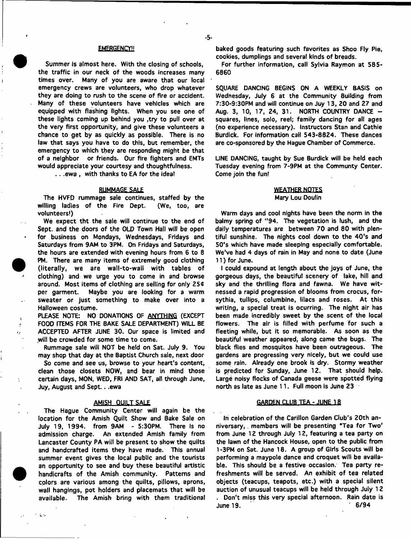#### **EMERGENCY!!**

Summer is almost here. With the closing of schools, the traffic in our neck of the woods increases many times over. Many of you are aware that our local emergency crews are volunteers, who drop whatever they are doing to rush to the scene of fire or accident. Many of these volunteers have vehicles which are equipped with flashing lights. When you see one of these tights coming up behind you ,try to pull over at the very first opportunity, and give these volunteers a chance to get by as quickly as possible. There is no law that says you have to do this, but remember, the emergency to which they are responding might be that of a neighbor or friends. Our fire fighters and EMTs would appreciate your courtesy and thoughtfulness.

.. .ewa , with thanks to EA for the idea!

#### RUMMAGE SALE

The HVFO rummage sale continues, staffed by the willing ladies of the Fire Dept. (We, too, are volunteers!)

We expect tht the sale will continue to the end of Sept. and the doors of the OLD Town Hall will be open for business on Mondays, Wednesdays, Fridays and Saturdays from 9AM to 3PM. On Fridays and Saturdays, the hours are extended with evening hours from 6 to 8 PM. There are many items of extremely good clothing (literally, we are wall-to-wall with tables of clothing) and we urge you to come in and browse around. Most items of clothing are selling for only  $25¢$ per garment. Maybe you are looking for a warm sweater or just something to make over into a Halloween costume.

PLEASE NOTE: NO DONATIONS OF ANYTHING (EXCEPT FOOD ITEMS FOR THE BAKE SALE DEPARTMENT) WILL BE ACCEPTED AFTER JUNE 30. Our space is limited and will be crowded for some time to come.

 $\mathbf{t}$ 

 $\sim 10$ 

Rummage sale will NOT be held on Sat. July 9. You may shop that day at the Baptist Church sale, next door

So come and see us, browse to your heart's content, clean those closets NOW, and bear in mind those certain days, MON, WED, FRI AND SAT, all through June, Juy, August and Sept.. .ewa

#### AMISH OUILT SALE

The Hague Community Center will again be the location for the Amish Quilt Show and Bake Sale on July 19, 1994. from 9AM - 5:30PM. There Is no admission charge. An extended Amish family from Lancaster County PA will be present to show the quilts and handcrafted items they have made. This annual summer event gives the local public and the tourists an opportunity to see and buy these beautiful artistic handicrafts of the Amish community. Patterns and colors are various among the quilts, pillows, aprons, wall hangings, pot holders and placemats that will be available. The Amish bring with them traditional

baked goods featuring such favorites as Shoo Fly Pie, cookies, dumplings and several kinds of breads.

For further information, call Sylvia Raymon at 585- 6860

SQUARE DANCING BEGINS ON A WEEKLY BASIS on Wednesday, July 6 at the Community Building from 7:30-9:30PM and will continue on Juy 13, 20 and 27 and Aug. 3, 10, 17, 24, 31. NORTH COUNTRY DANCE  $$ squares, lines, solo, reel; family dancing for all ages (no experience necessary). Instructors Stan and Cathie Burdick. For information cali 543-8824. These dances are co-sponsored by the Hague Chamber of Commerce.

LINE DANCING, taught by Sue Burdick will be held each Tuesday evening from 7-9PM at the Communty Center. Come join the fun!

## WEATHER NOTES Mary Lou Doulin

Warm days and cool nights have been the norm in the balmy spring of "94. The vegetation is lush, and the daily temperatures are between 70 and 80 with plentiful sunshine. The nights cool down to the 40's and 50's which have made sleeping especially comfortable. We've had 4 days of rain in May and none to date (June 11) for June.

I could expound at length about the joys of June, the gorgeous days, the beautiful scenery of lake, hill and sky and the thrilling flora and fawna. We have witnessed a rapid progression of blooms from crocus, forsythia, tullips, columbine, lilacs and roses. At this writing, a special treat is ocurring. The night air has been made incredibly sweet by the scent of the local flowers. The air is filled with perfume for such a fleeting while, but it so memorable. As soon as the beautiful weather appeared, along came the bugs. The black flies and mosquitos have been outrageous. The gardens are progressing very nicely, but we could use some rain. Already one brook is dry. Stormy weather is predicted for Sunday, June 12. That should help. Large noisy flocks of Canada geese were spotted flying north as late as June 11. Full moon is June 23

#### **GARDEN CLUB TEA - JUNE 18**

In celebration of the Carillon Garden Club's 20th anniversary, . members will be presenting "Tea for Two' from June 12 through July 12, featuring a tea party on the lawn of the Hancock House, open to the public from 1-3PM on Sat. June IB. A group of Girls Scouts will be performing a maypole dance and croquet will be available. This should be a festive occasion. Tea party refreshments will be served. An exhibit of tea related objects (teacups, teapots, etc.) with a special silent auction of unusual teacups will be held through July 12 . Don't miss this very special afternoon. Rain date is June 19. \* 6/94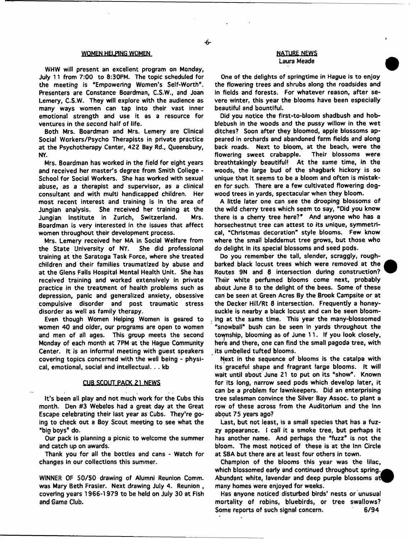#### WOMEN HELPING WOMEN COMEN AND THE MESSENGER OF THE NEWS

-6-

WHW will present an excellent program on Monday, July 11 from 7:00 to 8:30PM. The topic scheduled for the meeting is "Empowering Women's Self-Worth". Presenters are Constance Boardman, C.S.W., and Joan Lemery, C.S.W, They will explore with the audience as many ways women can tap Into their vast inner emotional strength and use it as a resource for ventures in the second half of life.

Both Mrs. Boardman and Mrs. Lemery are Clinical Social Workers/Psycho Therapists in private practice at the Psychotherapy Center, 422 Bay Rd., Queensbury, NY.

Mrs. Boardman has worked in the field for eight years and received her master's degree from Smith College - School for Social Workers. She has worked with sexual abuse, as a therapist and supervisor, as a clinical consultant and with multi handicapped children. Her most recent interest and training is in the area of Jungian analysis. She received her training at the Jungian Institute in Zurich, Switzerland. Mrs. Boardman is very interested in the issues that affect women throughout their development process.

Mrs. Lemery received her MA in Social Welfare from the State University of NY. She did professional training at the Saratoga Task Force, where she treated children and their families traumatized by abuse and at the Glens Falls Hospital Mental Health Unit. She has received training and worked extensively in private practice in the treatment of health problems such as depression, panic and generalized anxiety, obsessive compulsive disorder and post traumatic stress disorder as well as family therapy.

Even though Women Helping Women is geared to women 40 and older, our programs are open to women and men of all ages. This group meets the second Monday of each month at 7PM at the Hague Community Center. It is an informal meeting with guest speakers covering topics concerned with the well being - physical, emotional, social and intellectual. . . kb

#### CUB SCOUT PACK 21. NEWS

It's been all play and not much work for the Cubs this month. Den #3 Webelos had a great day at the Great Escape celebrating their last year as Cubs. They're going to check out a Boy Scout meeting to see what the "big boys® do.

Our pack is planning a picnic to welcome the summer and catch up on awards.

Thank you for all the bottles and cans - Watch for changes in our collections this summer.

WINNER OF 50/50 drawing of Alumni Reunion Comm, was Mary Beth Frasier. Next drawing July 4. Reunion , covering years 1966-1979 to be held on July 30 at Fish and Game Club.

# Laura Meade

One of the delights of springtime in Hague is to enjoy the flowering trees and shrubs along the roadsides and In fields and forests. For whatever reason, after severe winter, this year the blooms have been especially beautiful and bountiful.

Did you notice the flrst-to-bloom shadbush and hobblebush in the woods and the pussy willow in the wet ditches? Soon after they bloomed, apple blossoms appeared in orchards and abandoned farm fields and along back roads. Next to bloom, at the beach, were the<br>flowering sweet crabapple. Their blossoms were flowering sweet crabapple. breathtakingly beautiful! At the same time, in the woods, the large bud of the shagbark hickory is so unique that it seems to be a bloom and often is mistaken for such. There are a few cultivated flowering dogwood trees in yards, spectacular when they bloom.

A little later one can see the drooping blossoms of the wild cherry trees which seem to say, "Did you know there is a cherry tree here?" And anyone who has a horsechestnut tree can attest to its unique, symmetrical, "Christmas decoration" style blooms. Few know where the small bladdemut tree grows, but those who do delight in its special blossoms and seed pods.

Do you remember the tall, slender, scraggly, roughbarked black locust trees which were removed at the Routes 9N and 8 intersection during construction? Their white perfumed blooms come next, probably about June 8 to the delight of the bees. Some of these can be seen at Green Acres By the Brook Campsite or at the Decker Hill/Rt 8 intersection. Frequently a honeysuckle is nearby a black locust and can be seen blooming at the same time. This year the many-blossomed "snowball" bush can be seen in yards throughout the tovpship, blooming as of June 11. If you look closely, here and there, one can find the small pagoda tree, with its umbelled tufted blooms.

Next in the sequence of blooms is the catalpa with its graceful shape and fragrant large blooms. It will wait until about June 21 to put on its "show". Known for its long, narrow seed pods which develop later, it can be a problem for lawnkeepers. Did an enterprising tree salesman convince the Silver Bay Assoc, to plant a row of these across from the Auditorium and the Inn about 75 years ago?

Last, but not least, is a small species that has a fuzzy appearance. I call it a smoke tree, but perhaps it has another name. And perhaps the "fuzz" is not the bloom. The most noticed of these is at the Inn Circle at S8A but there are at least four others in town.

Champion of the blooms this year was the lilac, which blossomed early and continued throughout spring. Abundant white, lavendar and deep purple blossoms at many homes were enjoyed for weeks.

Has anyone noticed disturbed birds' nests or unusual mortality of robins, bluebirds, or tree swallows? Some reports of such signal concern. 6/94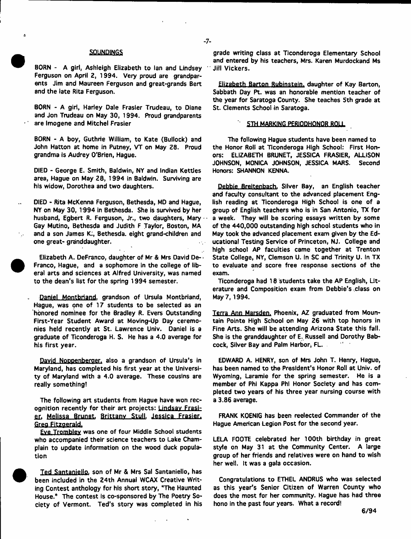#### SOUNDINGS

BORN - A girl, Ashleigh Elizabeth to Ian and Lindsey Ferguson on April 2, 1994. Very proud are grandparents Jim and Maureen Ferguson and great-grands Bert and the late Rita Ferguson.

BORN - A girl, Harley Dale Frasier Trudeau, to Diane and Jon Trudeau on May 30, 1994. Proud grandparents are Imogene and Mitchel Frasier

BORN - A boy, Guthrie William, to Kate (Bullock) and John Hatton at home in Putney, VT on May 28. Proud grandma is Audrey O'Brien, Hague.

DIED - George E. Smith, Baldwin, NY and Indian Kettles area, Hague on May 28, 1994 in Baldwin. Surviving are his widow, Dorothea and two daughters.

DIED - Rita McKenna Ferguson, Bethesda, MD and Hague, NY on May 30, T994 In Bethesda. She is survived by her husband, Egbert R. Ferguson, Jr., two daughters, Mary Gay Mutino, Bethesda and Judith F Taylor, Boston, MA and a son James K;, Bethesda. eight grand-children and one great- granddaughter.

Elizabeth A. DeFranco, daughter of Mr & Mrs David De- \* Franco, Hague, and a sophomore in the college of liberal arts and sciences at Alfred University, was named to the dean's list for the spring 1994 semester.

Daniel Montbriand. grandson of Ursula Montbriand, Hague, was pne of 17 students to be selected as an honored nominee for the Bradley R. Evers Outstanding First-Year Student Award at Moving-Up Day ceremonies held recently at St. Lawrence Univ. Daniel is a graduate of Ticonderoga H, S. He has a 4.0 average for his first year.

David Noppenberaer. also a grandson of Ursula's in Maryland, has completed his first year at the University of Maryland with a 4.0 average. These cousins are really something!

The following art students from Hague have won recognition recently for their art projects: Lindsav Frasi er. Melissa Brunet. Brittany Stull. Jessica Frasier. Greg Fitzgerald.

Eve Tromblev was one of four Middle School students who accompanied their science teachers to Lake Champlain to update information on the wood duck population



Ted **Santaniello.** son of Mr & Mrs Sal Santaniello, has been included in the 24th Annual WCAX Creative Writing Contest anthology for his short story, "The Haunted House.8 The contest is co-sponsored by The Poetry Society of Vermont. Ted's story was completed in his

grade writing class at Ticonderoga Elementary School and entered by his teachers, Mrs. Karen Murdockand Ms Jill Vickers.

Elizabeth Barton Rubinstein, daughter of Kay Barton, Sabbath Day Pt. was an honorable mention teacher of the year for Saratoga County. She teaches 5th grade at St. Clements School in Saratoga.

#### STH MARKING PER1QDHONOR ROLL

The following Hague students have been named to the Honor Roll at Ticonderoga High School: First Honors: ELIZABETH BRUNET, JESSICA FRASIER, ALLISON JOHNSON, MONICA JOHNSON, JESSICA MARS. Second Honors: SHANNON KENNA.

Debbie Breltenbach. Silver Bay, an English teacher and faculty consultant to the advanced placement English reading at Ticonderoga High School is one of a group of English teachers who is in San Antonio, TX for a week. They will be scoring essays written by some of the 440,000 outstanding high school students who in May took the advanced placement exam given by the Educational Testing Service of Princeton, NJ. College and high school AP faculties came together at Trenton State College, NY, Clemson U. in SC and Trinity U. in TX to evaluate and score free response sections of the exam.

Ticonderoga had 18 students take the AP English, Literature and Composition exam from Debbie's class on May 7,1994.

Terra Ann Marsden. Phoenix, AZ graduated from Mountain Pointe High School on May 26 with top honors in Fine Arts. She will be attending Arizona State this fail. She is the granddaughter of E. Russell and Dorothy Babcock, Silver Bay and Palm Harbor, FL.

EDWARD A. HENRY, son of Mrs John T. Henry, Hague, has been named to the President's Honor Roll at Univ. of Wyoming, Laramie for the spring semester. He is a member of Phi Kappa Phi Honor Society and has completed two years of his three year nursing course with a 3.86 average.

FRANK KOENIG has been reelected Commander of the Hague American Legion Post for the second year.

LELA FOOTE celebrated her 100th birthday in great style on May 31 at the Community Center. A large group of her friends and relatives were on hand to wish her well. It was a gala occasion.

Congratulations to ETHEL ANDRUS who was selected as this year's Senior Citizen of Warren County who does the most for her community. Hague has had three hono in the past four years. What a record!